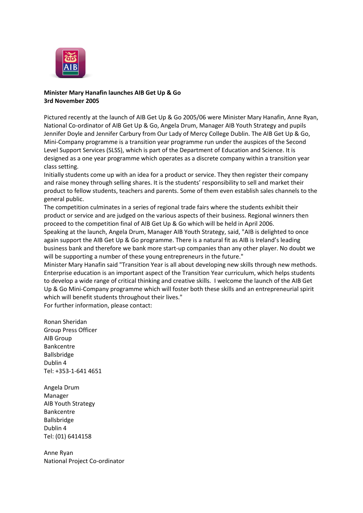

## **Minister Mary Hanafin launches AIB Get Up & Go 3rd November 2005**

Pictured recently at the launch of AIB Get Up & Go 2005/06 were Minister Mary Hanafin, Anne Ryan, National Co-ordinator of AIB Get Up & Go, Angela Drum, Manager AIB Youth Strategy and pupils Jennifer Doyle and Jennifer Carbury from Our Lady of Mercy College Dublin. The AIB Get Up & Go, Mini-Company programme is a transition year programme run under the auspices of the Second Level Support Services (SLSS), which is part of the Department of Education and Science. It is designed as a one year programme which operates as a discrete company within a transition year class setting.

Initially students come up with an idea for a product or service. They then register their company and raise money through selling shares. It is the students' responsibility to sell and market their product to fellow students, teachers and parents. Some of them even establish sales channels to the general public.

The competition culminates in a series of regional trade fairs where the students exhibit their product or service and are judged on the various aspects of their business. Regional winners then proceed to the competition final of AIB Get Up & Go which will be held in April 2006.

Speaking at the launch, Angela Drum, Manager AIB Youth Strategy, said, "AIB is delighted to once again support the AIB Get Up & Go programme. There is a natural fit as AIB is Ireland's leading business bank and therefore we bank more start-up companies than any other player. No doubt we will be supporting a number of these young entrepreneurs in the future."

Minister Mary Hanafin said "Transition Year is all about developing new skills through new methods. Enterprise education is an important aspect of the Transition Year curriculum, which helps students to develop a wide range of critical thinking and creative skills. I welcome the launch of the AIB Get Up & Go Mini-Company programme which will foster both these skills and an entrepreneurial spirit which will benefit students throughout their lives."

For further information, please contact:

Ronan Sheridan Group Press Officer AIB Group Bankcentre Ballsbridge Dublin 4 Tel: +353-1-641 4651

Angela Drum Manager AIB Youth Strategy Bankcentre Ballsbridge Dublin 4 Tel: (01) 6414158

Anne Ryan National Project Co-ordinator